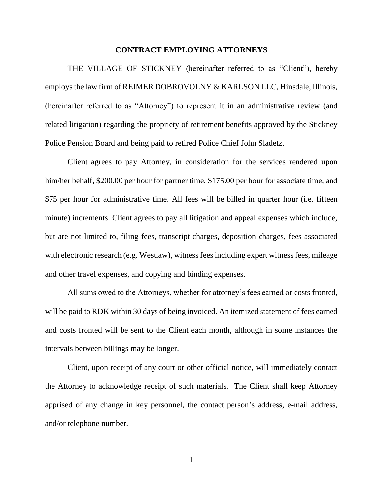## **CONTRACT EMPLOYING ATTORNEYS**

THE VILLAGE OF STICKNEY (hereinafter referred to as "Client"), hereby employs the law firm of REIMER DOBROVOLNY & KARLSON LLC, Hinsdale, Illinois, (hereinafter referred to as "Attorney") to represent it in an administrative review (and related litigation) regarding the propriety of retirement benefits approved by the Stickney Police Pension Board and being paid to retired Police Chief John Sladetz.

Client agrees to pay Attorney, in consideration for the services rendered upon him/her behalf, \$200.00 per hour for partner time, \$175.00 per hour for associate time, and \$75 per hour for administrative time. All fees will be billed in quarter hour (i.e. fifteen minute) increments. Client agrees to pay all litigation and appeal expenses which include, but are not limited to, filing fees, transcript charges, deposition charges, fees associated with electronic research (e.g. Westlaw), witness fees including expert witness fees, mileage and other travel expenses, and copying and binding expenses.

All sums owed to the Attorneys, whether for attorney's fees earned or costs fronted, will be paid to RDK within 30 days of being invoiced. An itemized statement of fees earned and costs fronted will be sent to the Client each month, although in some instances the intervals between billings may be longer.

Client, upon receipt of any court or other official notice, will immediately contact the Attorney to acknowledge receipt of such materials. The Client shall keep Attorney apprised of any change in key personnel, the contact person's address, e-mail address, and/or telephone number.

1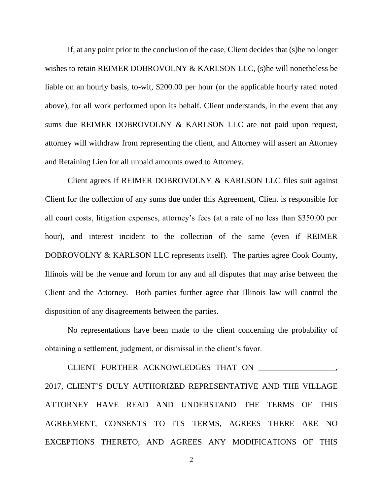If, at any point prior to the conclusion of the case, Client decides that (s)he no longer wishes to retain REIMER DOBROVOLNY & KARLSON LLC, (s) he will nonetheless be liable on an hourly basis, to-wit, \$200.00 per hour (or the applicable hourly rated noted above), for all work performed upon its behalf. Client understands, in the event that any sums due REIMER DOBROVOLNY & KARLSON LLC are not paid upon request, attorney will withdraw from representing the client, and Attorney will assert an Attorney and Retaining Lien for all unpaid amounts owed to Attorney.

Client agrees if REIMER DOBROVOLNY & KARLSON LLC files suit against Client for the collection of any sums due under this Agreement, Client is responsible for all court costs, litigation expenses, attorney's fees (at a rate of no less than \$350.00 per hour), and interest incident to the collection of the same (even if REIMER DOBROVOLNY & KARLSON LLC represents itself). The parties agree Cook County, Illinois will be the venue and forum for any and all disputes that may arise between the Client and the Attorney. Both parties further agree that Illinois law will control the disposition of any disagreements between the parties.

No representations have been made to the client concerning the probability of obtaining a settlement, judgment, or dismissal in the client's favor.

CLIENT FURTHER ACKNOWLEDGES THAT ON \_\_\_\_\_\_\_\_\_\_\_\_\_\_\_\_\_\_\_, 2017, CLIENT'S DULY AUTHORIZED REPRESENTATIVE AND THE VILLAGE ATTORNEY HAVE READ AND UNDERSTAND THE TERMS OF THIS AGREEMENT, CONSENTS TO ITS TERMS, AGREES THERE ARE NO EXCEPTIONS THERETO, AND AGREES ANY MODIFICATIONS OF THIS

2